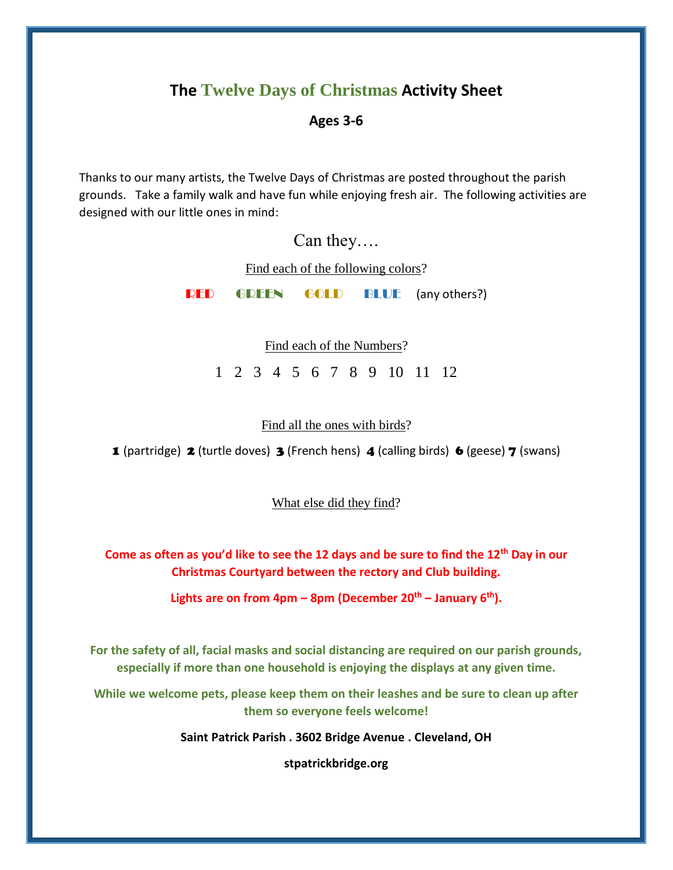### **The Twelve Days of Christmas Activity Sheet**

### **Ages 3-6**

Thanks to our many artists, the Twelve Days of Christmas are posted throughout the parish grounds. Take a family walk and have fun while enjoying fresh air. The following activities are designed with our little ones in mind:

Can they….

Find each of the following colors?

RED GREEN GOLD BLUE (any others?)

Find each of the Numbers?

1 2 3 4 5 6 7 8 9 10 11 12

### Find all the ones with birds?

**1** (partridge) **2** (turtle doves) **3** (French hens) **4** (calling birds) **6** (geese) **7** (swans)

What else did they find?

**Come as often as you'd like to see the 12 days and be sure to find the 12th Day in our Christmas Courtyard between the rectory and Club building.** 

**Lights are on from 4pm – 8pm (December 20th – January 6th).**

**For the safety of all, facial masks and social distancing are required on our parish grounds, especially if more than one household is enjoying the displays at any given time.**

**While we welcome pets, please keep them on their leashes and be sure to clean up after them so everyone feels welcome!**

**Saint Patrick Parish . 3602 Bridge Avenue . Cleveland, OH**

**stpatrickbridge.org**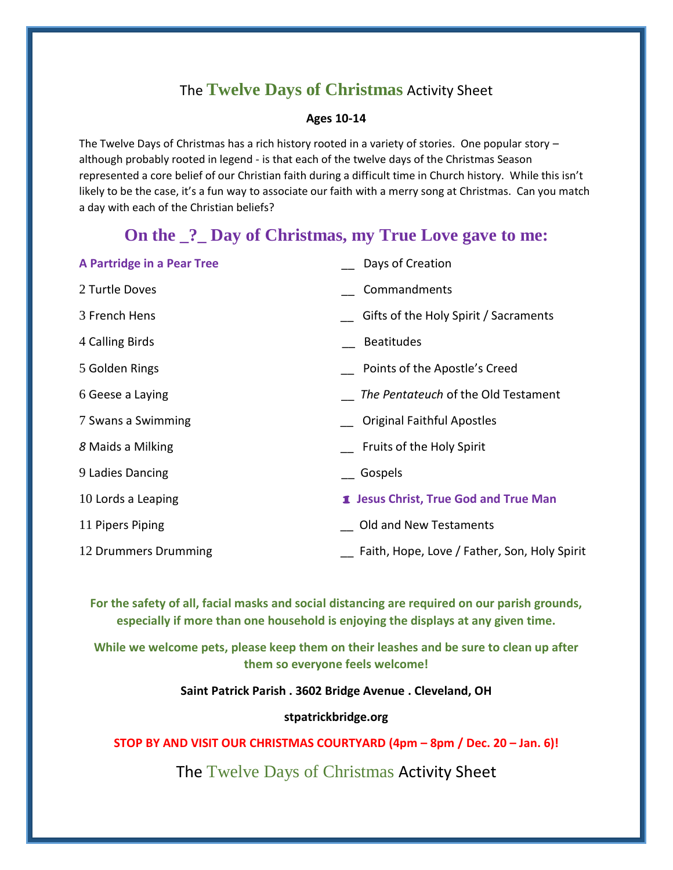## The **Twelve Days of Christmas** Activity Sheet

### **Ages 10-14**

The Twelve Days of Christmas has a rich history rooted in a variety of stories. One popular story – although probably rooted in legend - is that each of the twelve days of the Christmas Season represented a core belief of our Christian faith during a difficult time in Church history. While this isn't likely to be the case, it's a fun way to associate our faith with a merry song at Christmas. Can you match a day with each of the Christian beliefs?

## **On the \_?\_ Day of Christmas, my True Love gave to me:**

| A Partridge in a Pear Tree | Days of Creation                             |
|----------------------------|----------------------------------------------|
| 2 Turtle Doves             | Commandments                                 |
| 3 French Hens              | Gifts of the Holy Spirit / Sacraments        |
| 4 Calling Birds            | <b>Beatitudes</b>                            |
| 5 Golden Rings             | Points of the Apostle's Creed                |
| 6 Geese a Laying           | The Pentateuch of the Old Testament          |
| 7 Swans a Swimming         | <b>Original Faithful Apostles</b>            |
| 8 Maids a Milking          | Fruits of the Holy Spirit                    |
| 9 Ladies Dancing           | Gospels                                      |
| 10 Lords a Leaping         | 1 Jesus Christ, True God and True Man        |
| 11 Pipers Piping           | Old and New Testaments                       |
| 12 Drummers Drumming       | Faith, Hope, Love / Father, Son, Holy Spirit |

**For the safety of all, facial masks and social distancing are required on our parish grounds, especially if more than one household is enjoying the displays at any given time.**

**While we welcome pets, please keep them on their leashes and be sure to clean up after them so everyone feels welcome!**

**Saint Patrick Parish . 3602 Bridge Avenue . Cleveland, OH**

**stpatrickbridge.org**

**STOP BY AND VISIT OUR CHRISTMAS COURTYARD (4pm – 8pm / Dec. 20 – Jan. 6)!**

The Twelve Days of Christmas Activity Sheet